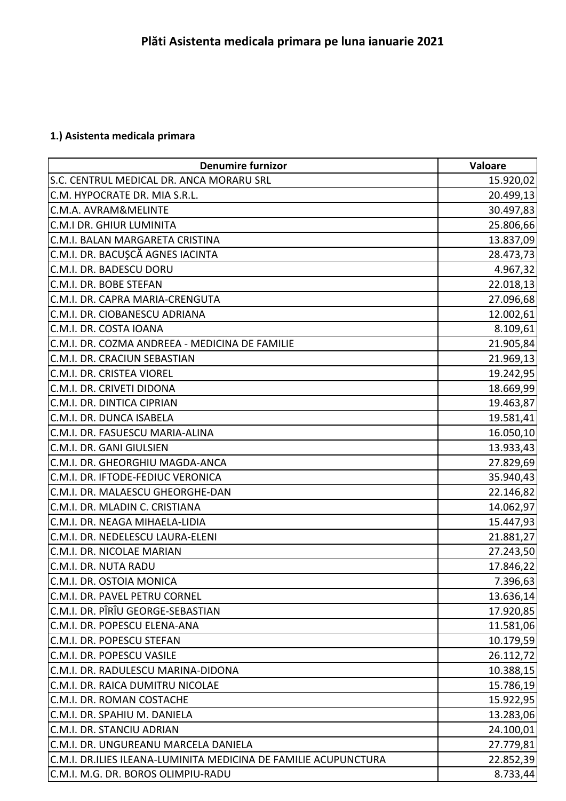## **1.) Asistenta medicala primara**

| <b>Denumire furnizor</b>                                        | Valoare   |
|-----------------------------------------------------------------|-----------|
| S.C. CENTRUL MEDICAL DR. ANCA MORARU SRL                        | 15.920,02 |
| C.M. HYPOCRATE DR. MIA S.R.L.                                   | 20.499,13 |
| C.M.A. AVRAM&MELINTE                                            | 30.497,83 |
| <b>C.M.I DR. GHIUR LUMINITA</b>                                 | 25.806,66 |
| C.M.I. BALAN MARGARETA CRISTINA                                 | 13.837,09 |
| C.M.I. DR. BACUŞCĂ AGNES IACINTA                                | 28.473,73 |
| C.M.I. DR. BADESCU DORU                                         | 4.967,32  |
| C.M.I. DR. BOBE STEFAN                                          | 22.018,13 |
| C.M.I. DR. CAPRA MARIA-CRENGUTA                                 | 27.096,68 |
| C.M.I. DR. CIOBANESCU ADRIANA                                   | 12.002,61 |
| C.M.I. DR. COSTA IOANA                                          | 8.109,61  |
| C.M.I. DR. COZMA ANDREEA - MEDICINA DE FAMILIE                  | 21.905,84 |
| C.M.I. DR. CRACIUN SEBASTIAN                                    | 21.969,13 |
| C.M.I. DR. CRISTEA VIOREL                                       | 19.242,95 |
| C.M.I. DR. CRIVETI DIDONA                                       | 18.669,99 |
| C.M.I. DR. DINTICA CIPRIAN                                      | 19.463,87 |
| C.M.I. DR. DUNCA ISABELA                                        | 19.581,41 |
| C.M.I. DR. FASUESCU MARIA-ALINA                                 | 16.050,10 |
| C.M.I. DR. GANI GIULSIEN                                        | 13.933,43 |
| C.M.I. DR. GHEORGHIU MAGDA-ANCA                                 | 27.829,69 |
| C.M.I. DR. IFTODE-FEDIUC VERONICA                               | 35.940,43 |
| C.M.I. DR. MALAESCU GHEORGHE-DAN                                | 22.146,82 |
| C.M.I. DR. MLADIN C. CRISTIANA                                  | 14.062,97 |
| C.M.I. DR. NEAGA MIHAELA-LIDIA                                  | 15.447,93 |
| C.M.I. DR. NEDELESCU LAURA-ELENI                                | 21.881,27 |
| C.M.I. DR. NICOLAE MARIAN                                       | 27.243,50 |
| C.M.I. DR. NUTA RADU                                            | 17.846,22 |
| C.M.I. DR. OSTOIA MONICA                                        | 7.396,63  |
| C.M.I. DR. PAVEL PETRU CORNEL                                   | 13.636,14 |
| C.M.I. DR. PÎRÎU GEORGE-SEBASTIAN                               | 17.920,85 |
| C.M.I. DR. POPESCU ELENA-ANA                                    | 11.581,06 |
| C.M.I. DR. POPESCU STEFAN                                       | 10.179,59 |
| C.M.I. DR. POPESCU VASILE                                       | 26.112,72 |
| C.M.I. DR. RADULESCU MARINA-DIDONA                              | 10.388,15 |
| C.M.I. DR. RAICA DUMITRU NICOLAE                                | 15.786,19 |
| C.M.I. DR. ROMAN COSTACHE                                       | 15.922,95 |
| C.M.I. DR. SPAHIU M. DANIELA                                    | 13.283,06 |
| C.M.I. DR. STANCIU ADRIAN                                       | 24.100,01 |
| C.M.I. DR. UNGUREANU MARCELA DANIELA                            | 27.779,81 |
| C.M.I. DR.ILIES ILEANA-LUMINITA MEDICINA DE FAMILIE ACUPUNCTURA | 22.852,39 |
| C.M.I. M.G. DR. BOROS OLIMPIU-RADU                              | 8.733,44  |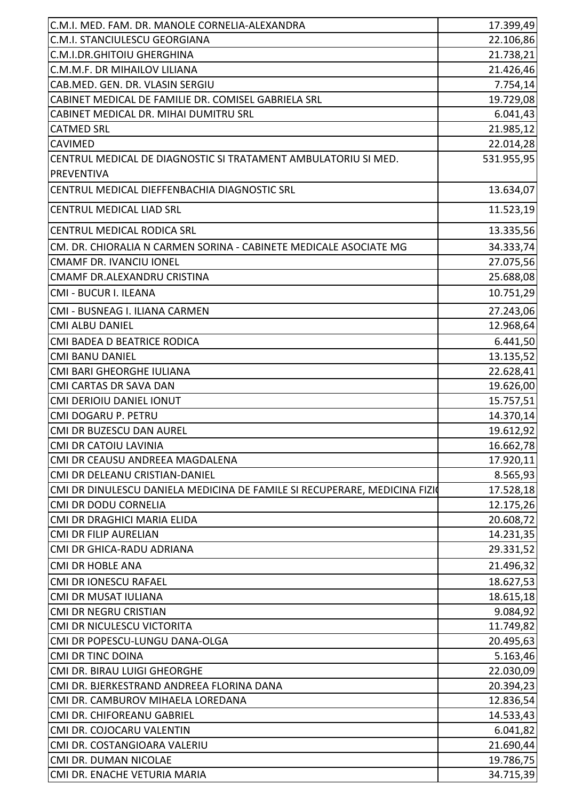| C.M.I. MED. FAM. DR. MANOLE CORNELIA-ALEXANDRA                            | 17.399,49  |
|---------------------------------------------------------------------------|------------|
| C.M.I. STANCIULESCU GEORGIANA                                             | 22.106,86  |
| C.M.I.DR.GHITOIU GHERGHINA                                                | 21.738,21  |
| C.M.M.F. DR MIHAILOV LILIANA                                              | 21.426,46  |
| CAB.MED. GEN. DR. VLASIN SERGIU                                           | 7.754,14   |
| CABINET MEDICAL DE FAMILIE DR. COMISEL GABRIELA SRL                       | 19.729,08  |
| CABINET MEDICAL DR. MIHAI DUMITRU SRL                                     | 6.041,43   |
| <b>CATMED SRL</b>                                                         | 21.985,12  |
| <b>CAVIMED</b>                                                            | 22.014,28  |
| CENTRUL MEDICAL DE DIAGNOSTIC SI TRATAMENT AMBULATORIU SI MED.            | 531.955,95 |
| <b>PREVENTIVA</b>                                                         |            |
| CENTRUL MEDICAL DIEFFENBACHIA DIAGNOSTIC SRL                              | 13.634,07  |
| <b>CENTRUL MEDICAL LIAD SRL</b>                                           | 11.523,19  |
| CENTRUL MEDICAL RODICA SRL                                                | 13.335,56  |
| CM. DR. CHIORALIA N CARMEN SORINA - CABINETE MEDICALE ASOCIATE MG         | 34.333,74  |
| <b>CMAMF DR. IVANCIU IONEL</b>                                            | 27.075,56  |
| CMAMF DR.ALEXANDRU CRISTINA                                               | 25.688,08  |
| CMI - BUCUR I. ILEANA                                                     | 10.751,29  |
| CMI - BUSNEAG I. ILIANA CARMEN                                            | 27.243,06  |
| <b>CMI ALBU DANIEL</b>                                                    | 12.968,64  |
| CMI BADEA D BEATRICE RODICA                                               | 6.441,50   |
| <b>CMI BANU DANIEL</b>                                                    | 13.135,52  |
| CMI BARI GHEORGHE IULIANA                                                 | 22.628,41  |
| CMI CARTAS DR SAVA DAN                                                    | 19.626,00  |
| <b>CMI DERIOIU DANIEL IONUT</b>                                           | 15.757,51  |
| CMI DOGARU P. PETRU                                                       | 14.370,14  |
| CMI DR BUZESCU DAN AUREL                                                  | 19.612,92  |
| <b>CMI DR CATOIU LAVINIA</b>                                              | 16.662,78  |
| CMI DR CEAUSU ANDREEA MAGDALENA                                           | 17.920,11  |
| CMI DR DELEANU CRISTIAN-DANIEL                                            | 8.565,93   |
| CMI DR DINULESCU DANIELA MEDICINA DE FAMILE SI RECUPERARE, MEDICINA FIZIO | 17.528,18  |
| <b>CMI DR DODU CORNELIA</b>                                               | 12.175,26  |
| CMI DR DRAGHICI MARIA ELIDA                                               | 20.608,72  |
| <b>CMI DR FILIP AURELIAN</b>                                              | 14.231,35  |
| CMI DR GHICA-RADU ADRIANA                                                 | 29.331,52  |
| <b>CMI DR HOBLE ANA</b>                                                   | 21.496,32  |
| CMI DR IONESCU RAFAEL                                                     | 18.627,53  |
| CMI DR MUSAT IULIANA                                                      | 18.615,18  |
| <b>CMI DR NEGRU CRISTIAN</b>                                              | 9.084,92   |
| CMI DR NICULESCU VICTORITA                                                | 11.749,82  |
| CMI DR POPESCU-LUNGU DANA-OLGA                                            | 20.495,63  |
| <b>CMI DR TINC DOINA</b>                                                  | 5.163,46   |
| CMI DR. BIRAU LUIGI GHEORGHE                                              | 22.030,09  |
| CMI DR. BJERKESTRAND ANDREEA FLORINA DANA                                 | 20.394,23  |
| CMI DR. CAMBUROV MIHAELA LOREDANA                                         | 12.836,54  |
| CMI DR. CHIFOREANU GABRIEL                                                | 14.533,43  |
| CMI DR. COJOCARU VALENTIN                                                 | 6.041,82   |
| CMI DR. COSTANGIOARA VALERIU                                              | 21.690,44  |
| CMI DR. DUMAN NICOLAE                                                     | 19.786,75  |
| CMI DR. ENACHE VETURIA MARIA                                              | 34.715,39  |
|                                                                           |            |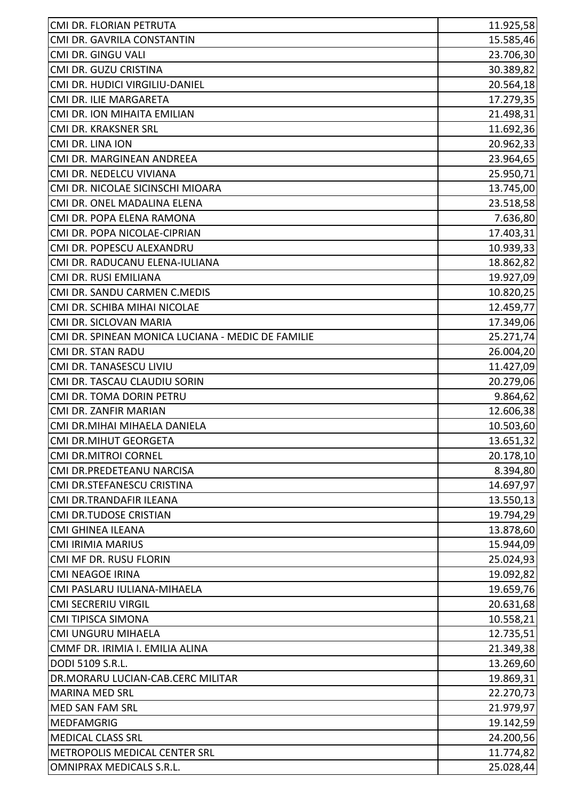| CMI DR. FLORIAN PETRUTA                           | 11.925,58 |
|---------------------------------------------------|-----------|
| CMI DR. GAVRILA CONSTANTIN                        | 15.585,46 |
| CMI DR. GINGU VALI                                | 23.706,30 |
| CMI DR. GUZU CRISTINA                             | 30.389,82 |
| CMI DR. HUDICI VIRGILIU-DANIEL                    | 20.564,18 |
| CMI DR. ILIE MARGARETA                            | 17.279,35 |
| CMI DR. ION MIHAITA EMILIAN                       | 21.498,31 |
| CMI DR. KRAKSNER SRL                              | 11.692,36 |
| CMI DR. LINA ION                                  | 20.962,33 |
| CMI DR. MARGINEAN ANDREEA                         | 23.964,65 |
| CMI DR. NEDELCU VIVIANA                           | 25.950,71 |
| CMI DR. NICOLAE SICINSCHI MIOARA                  | 13.745,00 |
| CMI DR. ONEL MADALINA ELENA                       | 23.518,58 |
| CMI DR. POPA ELENA RAMONA                         | 7.636,80  |
| CMI DR. POPA NICOLAE-CIPRIAN                      | 17.403,31 |
| CMI DR. POPESCU ALEXANDRU                         | 10.939,33 |
| CMI DR. RADUCANU ELENA-IULIANA                    | 18.862,82 |
| CMI DR. RUSI EMILIANA                             | 19.927,09 |
| CMI DR. SANDU CARMEN C.MEDIS                      | 10.820,25 |
| CMI DR. SCHIBA MIHAI NICOLAE                      | 12.459,77 |
| CMI DR. SICLOVAN MARIA                            | 17.349,06 |
| CMI DR. SPINEAN MONICA LUCIANA - MEDIC DE FAMILIE | 25.271,74 |
| <b>CMI DR. STAN RADU</b>                          | 26.004,20 |
| CMI DR. TANASESCU LIVIU                           | 11.427,09 |
| CMI DR. TASCAU CLAUDIU SORIN                      | 20.279,06 |
| CMI DR. TOMA DORIN PETRU                          | 9.864,62  |
| CMI DR. ZANFIR MARIAN                             | 12.606,38 |
| CMI DR.MIHAI MIHAELA DANIELA                      | 10.503,60 |
| <b>CMI DR.MIHUT GEORGETA</b>                      | 13.651,32 |
| <b>CMI DR.MITROI CORNEL</b>                       | 20.178,10 |
| CMI DR.PREDETEANU NARCISA                         | 8.394,80  |
| CMI DR.STEFANESCU CRISTINA                        | 14.697,97 |
| CMI DR.TRANDAFIR ILEANA                           | 13.550,13 |
| <b>CMI DR.TUDOSE CRISTIAN</b>                     | 19.794,29 |
| <b>CMI GHINEA ILEANA</b>                          | 13.878,60 |
| <b>CMI IRIMIA MARIUS</b>                          | 15.944,09 |
| CMI MF DR. RUSU FLORIN                            | 25.024,93 |
| <b>CMI NEAGOE IRINA</b>                           | 19.092,82 |
| CMI PASLARU IULIANA-MIHAELA                       | 19.659,76 |
| <b>CMI SECRERIU VIRGIL</b>                        | 20.631,68 |
| CMI TIPISCA SIMONA                                | 10.558,21 |
| CMI UNGURU MIHAELA                                | 12.735,51 |
| CMMF DR. IRIMIA I. EMILIA ALINA                   | 21.349,38 |
| DODI 5109 S.R.L.                                  | 13.269,60 |
| DR.MORARU LUCIAN-CAB.CERC MILITAR                 | 19.869,31 |
| <b>MARINA MED SRL</b>                             | 22.270,73 |
| <b>MED SAN FAM SRL</b>                            | 21.979,97 |
| <b>MEDFAMGRIG</b>                                 | 19.142,59 |
| <b>MEDICAL CLASS SRL</b>                          | 24.200,56 |
| METROPOLIS MEDICAL CENTER SRL                     | 11.774,82 |
| OMNIPRAX MEDICALS S.R.L.                          | 25.028,44 |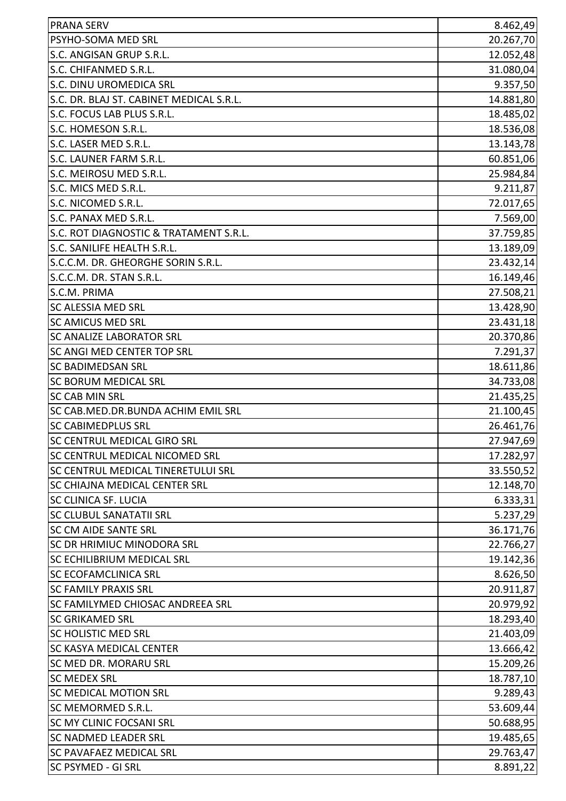| <b>PRANA SERV</b>                        | 8.462,49  |
|------------------------------------------|-----------|
| PSYHO-SOMA MED SRL                       | 20.267,70 |
| S.C. ANGISAN GRUP S.R.L.                 | 12.052,48 |
| S.C. CHIFANMED S.R.L.                    | 31.080,04 |
| S.C. DINU UROMEDICA SRL                  | 9.357,50  |
| S.C. DR. BLAJ ST. CABINET MEDICAL S.R.L. | 14.881,80 |
| S.C. FOCUS LAB PLUS S.R.L.               | 18.485,02 |
| S.C. HOMESON S.R.L.                      | 18.536,08 |
| S.C. LASER MED S.R.L.                    | 13.143,78 |
| S.C. LAUNER FARM S.R.L.                  | 60.851,06 |
| S.C. MEIROSU MED S.R.L.                  | 25.984,84 |
| S.C. MICS MED S.R.L.                     | 9.211,87  |
| S.C. NICOMED S.R.L.                      | 72.017,65 |
| S.C. PANAX MED S.R.L.                    | 7.569,00  |
| S.C. ROT DIAGNOSTIC & TRATAMENT S.R.L.   | 37.759,85 |
| S.C. SANILIFE HEALTH S.R.L.              | 13.189,09 |
| S.C.C.M. DR. GHEORGHE SORIN S.R.L.       | 23.432,14 |
| S.C.C.M. DR. STAN S.R.L.                 | 16.149,46 |
| S.C.M. PRIMA                             | 27.508,21 |
| <b>SC ALESSIA MED SRL</b>                | 13.428,90 |
| <b>SC AMICUS MED SRL</b>                 | 23.431,18 |
| <b>SC ANALIZE LABORATOR SRL</b>          | 20.370,86 |
| <b>SC ANGI MED CENTER TOP SRL</b>        | 7.291,37  |
| <b>SC BADIMEDSAN SRL</b>                 | 18.611,86 |
| <b>SC BORUM MEDICAL SRL</b>              | 34.733,08 |
| <b>SC CAB MIN SRL</b>                    | 21.435,25 |
| SC CAB.MED.DR.BUNDA ACHIM EMIL SRL       | 21.100,45 |
| <b>SC CABIMEDPLUS SRL</b>                | 26.461,76 |
| SC CENTRUL MEDICAL GIRO SRL              | 27.947,69 |
| SC CENTRUL MEDICAL NICOMED SRL           | 17.282,97 |
| SC CENTRUL MEDICAL TINERETULUI SRL       | 33.550,52 |
| <b>SC CHIAJNA MEDICAL CENTER SRL</b>     | 12.148,70 |
| <b>SC CLINICA SF. LUCIA</b>              | 6.333,31  |
| <b>SC CLUBUL SANATATII SRL</b>           | 5.237,29  |
| <b>SC CM AIDE SANTE SRL</b>              | 36.171,76 |
| SC DR HRIMIUC MINODORA SRL               | 22.766,27 |
| <b>SC ECHILIBRIUM MEDICAL SRL</b>        | 19.142,36 |
| <b>SC ECOFAMCLINICA SRL</b>              | 8.626,50  |
| <b>SC FAMILY PRAXIS SRL</b>              | 20.911,87 |
| <b>SC FAMILYMED CHIOSAC ANDREEA SRL</b>  | 20.979,92 |
| <b>SC GRIKAMED SRL</b>                   | 18.293,40 |
| <b>SC HOLISTIC MED SRL</b>               | 21.403,09 |
| <b>SC KASYA MEDICAL CENTER</b>           | 13.666,42 |
| <b>SC MED DR. MORARU SRL</b>             | 15.209,26 |
| <b>SC MEDEX SRL</b>                      | 18.787,10 |
| <b>SC MEDICAL MOTION SRL</b>             | 9.289,43  |
| SC MEMORMED S.R.L.                       | 53.609,44 |
| <b>SC MY CLINIC FOCSANI SRL</b>          | 50.688,95 |
| <b>SC NADMED LEADER SRL</b>              | 19.485,65 |
| <b>SC PAVAFAEZ MEDICAL SRL</b>           | 29.763,47 |
| <b>SC PSYMED - GI SRL</b>                | 8.891,22  |